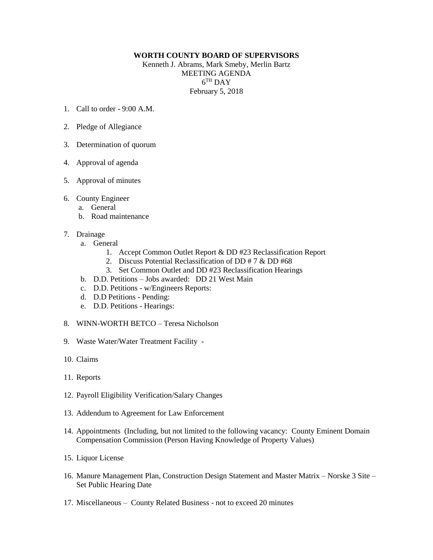## **WORTH COUNTY BOARD OF SUPERVISORS**

Kenneth J. Abrams, Mark Smeby, Merlin Bartz MEETING AGENDA  $6^{TH}$  DAY February 5, 2018

- 1. Call to order 9:00 A.M.
- 2. Pledge of Allegiance
- 3. Determination of quorum
- 4. Approval of agenda
- 5. Approval of minutes
- 6. County Engineer
	- a. General
	- b. Road maintenance
- 7. Drainage
	- a. General
		- 1. Accept Common Outlet Report & DD #23 Reclassification Report
		- 2. Discuss Potential Reclassification of DD # 7 & DD #68
		- 3. Set Common Outlet and DD #23 Reclassification Hearings
	- b. D.D. Petitions Jobs awarded: DD 21 West Main
	- c. D.D. Petitions w/Engineers Reports:
	- d. D.D Petitions Pending:
	- e. D.D. Petitions Hearings:
- 8. WINN-WORTH BETCO Teresa Nicholson
- 9. Waste Water/Water Treatment Facility -
- 10. Claims
- 11. Reports
- 12. Payroll Eligibility Verification/Salary Changes
- 13. Addendum to Agreement for Law Enforcement
- 14. Appointments (Including, but not limited to the following vacancy: County Eminent Domain Compensation Commission (Person Having Knowledge of Property Values)
- 15. Liquor License
- 16. Manure Management Plan, Construction Design Statement and Master Matrix Norske 3 Site Set Public Hearing Date
- 17. Miscellaneous County Related Business not to exceed 20 minutes